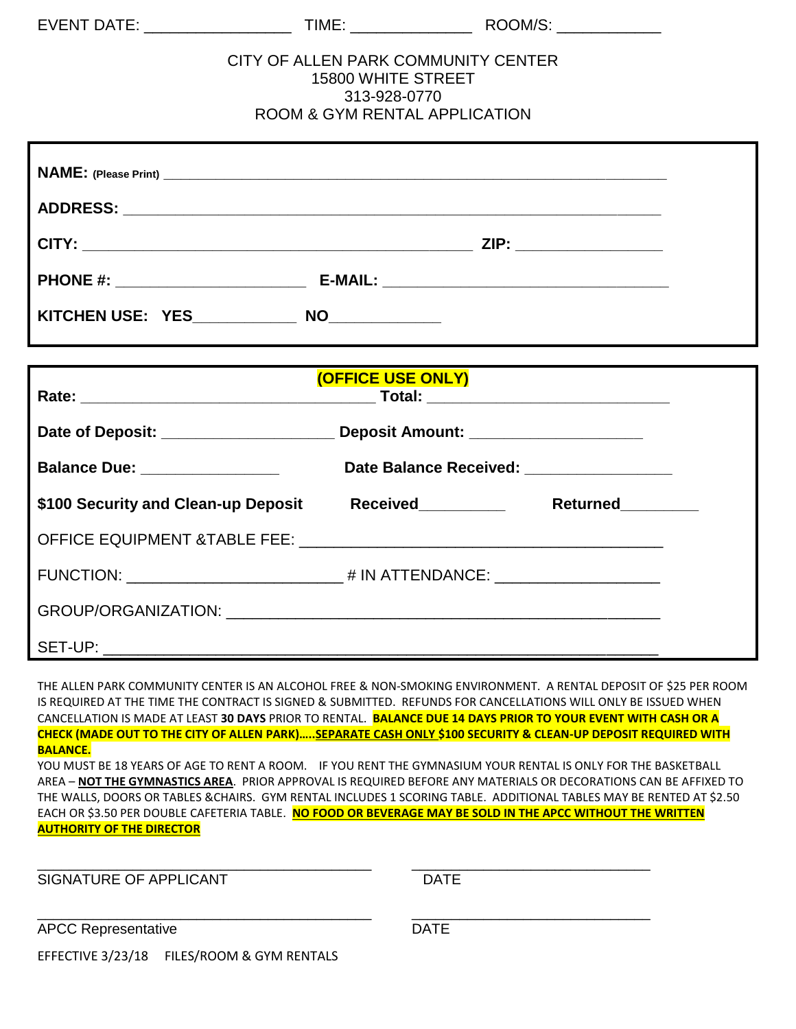|                                                                                  | CITY OF ALLEN PARK COMMUNITY CENTER<br><b>ROOM &amp; GYM RENTAL APPLICATION</b> | <b>15800 WHITE STREET</b><br>313-928-0770 |                                           |  |
|----------------------------------------------------------------------------------|---------------------------------------------------------------------------------|-------------------------------------------|-------------------------------------------|--|
|                                                                                  |                                                                                 |                                           |                                           |  |
|                                                                                  |                                                                                 |                                           |                                           |  |
|                                                                                  |                                                                                 |                                           |                                           |  |
|                                                                                  |                                                                                 |                                           |                                           |  |
| KITCHEN USE: YES_____________ NO____________                                     |                                                                                 |                                           |                                           |  |
|                                                                                  |                                                                                 |                                           |                                           |  |
| <b>(OFFICE USE ONLY)</b>                                                         |                                                                                 |                                           |                                           |  |
| Date of Deposit: ___________________________ Deposit Amount: ___________________ |                                                                                 |                                           |                                           |  |
| Balance Due: ________________                                                    |                                                                                 |                                           | Date Balance Received: __________________ |  |
| \$100 Security and Clean-up Deposit Received__________                           |                                                                                 |                                           | Returned________                          |  |
|                                                                                  |                                                                                 |                                           |                                           |  |
|                                                                                  |                                                                                 |                                           |                                           |  |
|                                                                                  |                                                                                 |                                           |                                           |  |
|                                                                                  |                                                                                 |                                           |                                           |  |
|                                                                                  |                                                                                 |                                           |                                           |  |

THE ALLEN PARK COMMUNITY CENTER IS AN ALCOHOL FREE & NON-SMOKING ENVIRONMENT. A RENTAL DEPOSIT OF \$25 PER ROOM IS REQUIRED AT THE TIME THE CONTRACT IS SIGNED & SUBMITTED. REFUNDS FOR CANCELLATIONS WILL ONLY BE ISSUED WHEN CANCELLATION IS MADE AT LEAST **30 DAYS** PRIOR TO RENTAL. **BALANCE DUE 14 DAYS PRIOR TO YOUR EVENT WITH CASH OR A CHECK (MADE OUT TO THE CITY OF ALLEN PARK)…..SEPARATE CASH ONLY \$100 SECURITY & CLEAN-UP DEPOSIT REQUIRED WITH BALANCE.**

YOU MUST BE 18 YEARS OF AGE TO RENT A ROOM. IF YOU RENT THE GYMNASIUM YOUR RENTAL IS ONLY FOR THE BASKETBALL AREA – **NOT THE GYMNASTICS AREA**. PRIOR APPROVAL IS REQUIRED BEFORE ANY MATERIALS OR DECORATIONS CAN BE AFFIXED TO THE WALLS, DOORS OR TABLES &CHAIRS. GYM RENTAL INCLUDES 1 SCORING TABLE. ADDITIONAL TABLES MAY BE RENTED AT \$2.50 EACH OR \$3.50 PER DOUBLE CAFETERIA TABLE. **NO FOOD OR BEVERAGE MAY BE SOLD IN THE APCC WITHOUT THE WRITTEN AUTHORITY OF THE DIRECTOR**

\_\_\_\_\_\_\_\_\_\_\_\_\_\_\_\_\_\_\_\_\_\_\_\_\_\_\_\_\_\_\_\_\_\_\_\_\_\_\_\_\_\_ \_\_\_\_\_\_\_\_\_\_\_\_\_\_\_\_\_\_\_\_\_\_\_\_\_\_\_\_\_\_

\_\_\_\_\_\_\_\_\_\_\_\_\_\_\_\_\_\_\_\_\_\_\_\_\_\_\_\_\_\_\_\_\_\_\_\_\_\_\_\_\_\_ \_\_\_\_\_\_\_\_\_\_\_\_\_\_\_\_\_\_\_\_\_\_\_\_\_\_\_\_\_\_

SIGNATURE OF APPLICANT **EXECUTE ASSESSMENT CONTRACT CONTRACT CONTRACT CONTRACT CONTRACT CONTRACT CONTRACT CONTRACT CONTRACT CONTRACT CONTRACT CONTRACT CONTRACT CONTRACT CONTRACT CONTRACT CONTRACT CONTRACT CONTRACT CONTRACT** 

APCC Representative DATE

EFFECTIVE 3/23/18 FILES/ROOM & GYM RENTALS